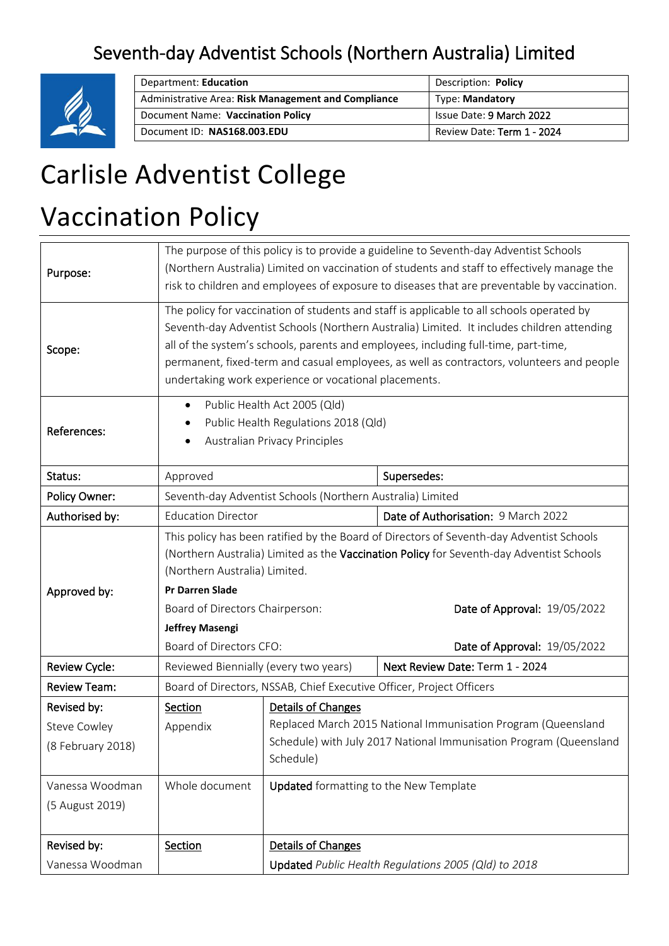# Seventh-day Adventist Schools (Northern Australia) Limited



| Department: Education                               | Description: Policy        |  |  |
|-----------------------------------------------------|----------------------------|--|--|
| Administrative Area: Risk Management and Compliance | <b>Type: Mandatory</b>     |  |  |
| Document Name: Vaccination Policy                   | Issue Date: 9 March 2022   |  |  |
| Document ID: NAS168.003.EDU                         | Review Date: Term 1 - 2024 |  |  |

# Carlisle Adventist College

# Vaccination Policy

| Purpose:                                         | The purpose of this policy is to provide a guideline to Seventh-day Adventist Schools<br>(Northern Australia) Limited on vaccination of students and staff to effectively manage the<br>risk to children and employees of exposure to diseases that are preventable by vaccination.                                                                                                                                                  |                                                                                                                                                                        |                                                                      |  |  |  |
|--------------------------------------------------|--------------------------------------------------------------------------------------------------------------------------------------------------------------------------------------------------------------------------------------------------------------------------------------------------------------------------------------------------------------------------------------------------------------------------------------|------------------------------------------------------------------------------------------------------------------------------------------------------------------------|----------------------------------------------------------------------|--|--|--|
| Scope:                                           | The policy for vaccination of students and staff is applicable to all schools operated by<br>Seventh-day Adventist Schools (Northern Australia) Limited. It includes children attending<br>all of the system's schools, parents and employees, including full-time, part-time,<br>permanent, fixed-term and casual employees, as well as contractors, volunteers and people<br>undertaking work experience or vocational placements. |                                                                                                                                                                        |                                                                      |  |  |  |
| References:                                      | Public Health Act 2005 (Qld)<br>$\bullet$<br>Public Health Regulations 2018 (Qld)<br>Australian Privacy Principles                                                                                                                                                                                                                                                                                                                   |                                                                                                                                                                        |                                                                      |  |  |  |
| Status:                                          | Approved                                                                                                                                                                                                                                                                                                                                                                                                                             |                                                                                                                                                                        | Supersedes:                                                          |  |  |  |
| Policy Owner:                                    |                                                                                                                                                                                                                                                                                                                                                                                                                                      | Seventh-day Adventist Schools (Northern Australia) Limited                                                                                                             |                                                                      |  |  |  |
| Authorised by:                                   | <b>Education Director</b>                                                                                                                                                                                                                                                                                                                                                                                                            |                                                                                                                                                                        | Date of Authorisation: 9 March 2022                                  |  |  |  |
| Approved by:                                     | This policy has been ratified by the Board of Directors of Seventh-day Adventist Schools<br>(Northern Australia) Limited as the Vaccination Policy for Seventh-day Adventist Schools<br>(Northern Australia) Limited.<br><b>Pr Darren Slade</b><br>Date of Approval: 19/05/2022<br>Board of Directors Chairperson:                                                                                                                   |                                                                                                                                                                        |                                                                      |  |  |  |
|                                                  | <b>Jeffrey Masengi</b><br>Board of Directors CFO:                                                                                                                                                                                                                                                                                                                                                                                    |                                                                                                                                                                        | Date of Approval: 19/05/2022                                         |  |  |  |
| Review Cycle:                                    | Reviewed Biennially (every two years)                                                                                                                                                                                                                                                                                                                                                                                                |                                                                                                                                                                        | Next Review Date: Term 1 - 2024                                      |  |  |  |
| <b>Review Team:</b>                              |                                                                                                                                                                                                                                                                                                                                                                                                                                      |                                                                                                                                                                        | Board of Directors, NSSAB, Chief Executive Officer, Project Officers |  |  |  |
| Revised by:<br>Steve Cowley<br>(8 February 2018) | Section<br>Appendix                                                                                                                                                                                                                                                                                                                                                                                                                  | Details of Changes<br>Replaced March 2015 National Immunisation Program (Queensland<br>Schedule) with July 2017 National Immunisation Program (Queensland<br>Schedule) |                                                                      |  |  |  |
| Vanessa Woodman<br>(5 August 2019)               | Whole document                                                                                                                                                                                                                                                                                                                                                                                                                       | <b>Updated</b> formatting to the New Template                                                                                                                          |                                                                      |  |  |  |
| Revised by:                                      | Section                                                                                                                                                                                                                                                                                                                                                                                                                              | Details of Changes                                                                                                                                                     |                                                                      |  |  |  |
| Vanessa Woodman                                  |                                                                                                                                                                                                                                                                                                                                                                                                                                      | Updated Public Health Regulations 2005 (Qld) to 2018                                                                                                                   |                                                                      |  |  |  |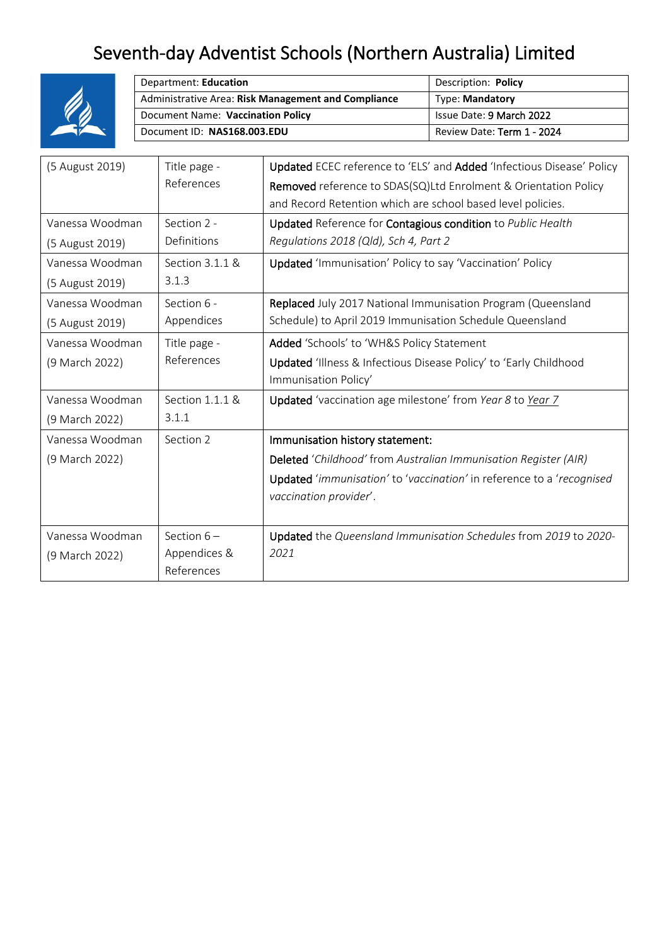# Seventh-day Adventist Schools (Northern Australia) Limited



| Department: Education                               | Description: Policy        |  |  |
|-----------------------------------------------------|----------------------------|--|--|
| Administrative Area: Risk Management and Compliance | <b>Type: Mandatory</b>     |  |  |
| Document Name: Vaccination Policy                   | Issue Date: 9 March 2022   |  |  |
| Document ID: NAS168.003.EDU                         | Review Date: Term 1 - 2024 |  |  |

| (5 August 2019) | Title page -      | Updated ECEC reference to 'ELS' and Added 'Infectious Disease' Policy        |
|-----------------|-------------------|------------------------------------------------------------------------------|
|                 | References        | Removed reference to SDAS(SQ)Ltd Enrolment & Orientation Policy              |
|                 |                   | and Record Retention which are school based level policies.                  |
| Vanessa Woodman | Section 2 -       | Updated Reference for Contagious condition to Public Health                  |
| (5 August 2019) | Definitions       | Regulations 2018 (Qld), Sch 4, Part 2                                        |
| Vanessa Woodman | Section 3.1.1 &   | Updated 'Immunisation' Policy to say 'Vaccination' Policy                    |
| (5 August 2019) | 3.1.3             |                                                                              |
| Vanessa Woodman | Section 6 -       | Replaced July 2017 National Immunisation Program (Queensland                 |
| (5 August 2019) | Appendices        | Schedule) to April 2019 Immunisation Schedule Queensland                     |
| Vanessa Woodman | Title page -      | Added 'Schools' to 'WH&S Policy Statement                                    |
| (9 March 2022)  | References        | Updated 'Illness & Infectious Disease Policy' to 'Early Childhood            |
|                 |                   | Immunisation Policy'                                                         |
| Vanessa Woodman | Section $1.1.1$ & | Updated 'vaccination age milestone' from Year 8 to Year 7                    |
| (9 March 2022)  | 3.1.1             |                                                                              |
| Vanessa Woodman | Section 2         | Immunisation history statement:                                              |
| (9 March 2022)  |                   | Deleted 'Childhood' from Australian Immunisation Register (AIR)              |
|                 |                   | <b>Updated</b> 'immunisation' to 'vaccination' in reference to a 'recognised |
|                 |                   | vaccination provider'.                                                       |
|                 |                   |                                                                              |
| Vanessa Woodman | Section $6-$      | Updated the Queensland Immunisation Schedules from 2019 to 2020-             |
| (9 March 2022)  | Appendices &      | 2021                                                                         |
|                 | References        |                                                                              |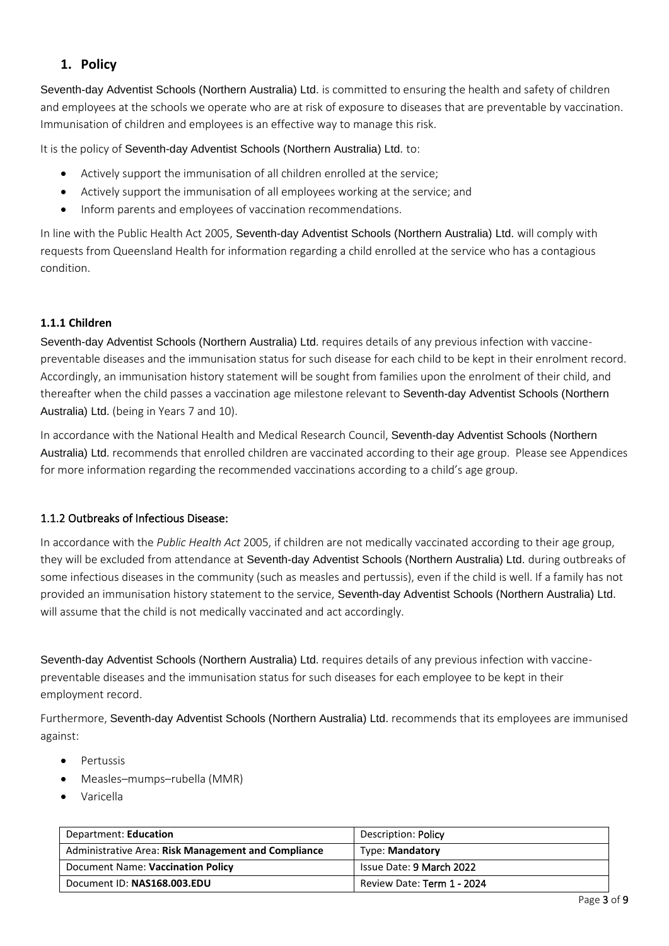### **1. Policy**

Seventh-day Adventist Schools (Northern Australia) Ltd. is committed to ensuring the health and safety of children and employees at the schools we operate who are at risk of exposure to diseases that are preventable by vaccination. Immunisation of children and employees is an effective way to manage this risk.

It is the policy of Seventh-day Adventist Schools (Northern Australia) Ltd. to:

- Actively support the immunisation of all children enrolled at the service;
- Actively support the immunisation of all employees working at the service; and
- Inform parents and employees of vaccination recommendations.

In line with the Public Health Act 2005, Seventh-day Adventist Schools (Northern Australia) Ltd. will comply with requests from Queensland Health for information regarding a child enrolled at the service who has a contagious condition.

#### **1.1.1 Children**

Seventh-day Adventist Schools (Northern Australia) Ltd. requires details of any previous infection with vaccinepreventable diseases and the immunisation status for such disease for each child to be kept in their enrolment record. Accordingly, an immunisation history statement will be sought from families upon the enrolment of their child, and thereafter when the child passes a vaccination age milestone relevant to Seventh-day Adventist Schools (Northern Australia) Ltd. (being in Years 7 and 10).

In accordance with the National Health and Medical Research Council, Seventh-day Adventist Schools (Northern Australia) Ltd. recommends that enrolled children are vaccinated according to their age group. Please see Appendices for more information regarding the recommended vaccinations according to a child's age group.

#### 1.1.2 Outbreaks of Infectious Disease:

In accordance with the *Public Health Act* 2005, if children are not medically vaccinated according to their age group, they will be excluded from attendance at Seventh-day Adventist Schools (Northern Australia) Ltd. during outbreaks of some infectious diseases in the community (such as measles and pertussis), even if the child is well. If a family has not provided an immunisation history statement to the service, Seventh-day Adventist Schools (Northern Australia) Ltd. will assume that the child is not medically vaccinated and act accordingly.

Seventh-day Adventist Schools (Northern Australia) Ltd. requires details of any previous infection with vaccinepreventable diseases and the immunisation status for such diseases for each employee to be kept in their employment record.

Furthermore, Seventh-day Adventist Schools (Northern Australia) Ltd. recommends that its employees are immunised against:

- Pertussis
- Measles–mumps–rubella (MMR)
- Varicella

| Department: Education                               | Description: Policy        |
|-----------------------------------------------------|----------------------------|
| Administrative Area: Risk Management and Compliance | <b>Type: Mandatory</b>     |
| Document Name: Vaccination Policy                   | Issue Date: 9 March 2022   |
| Document ID: NAS168.003.EDU                         | Review Date: Term 1 - 2024 |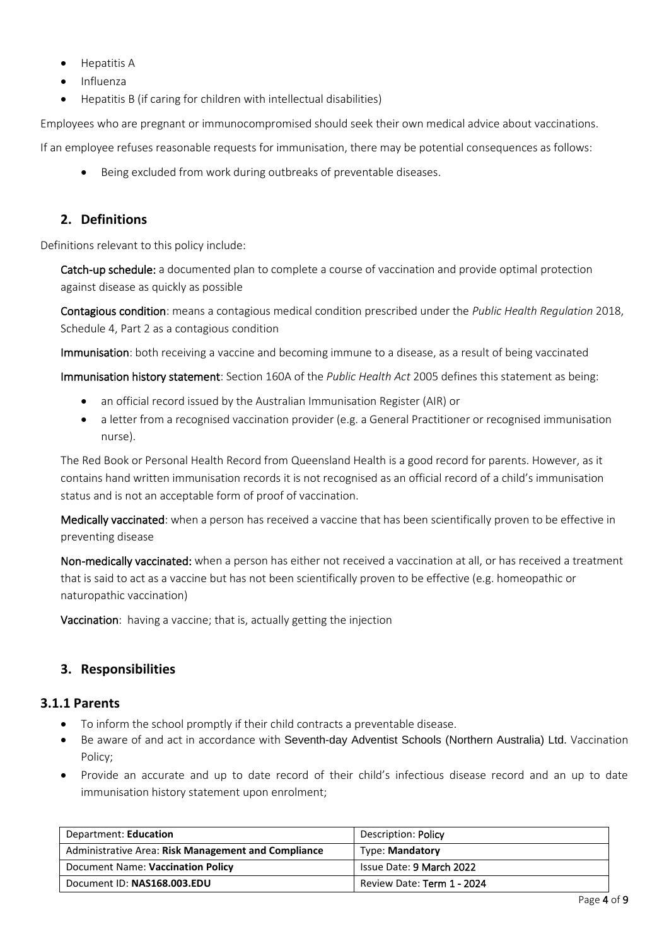- Hepatitis A
- Influenza
- Hepatitis B (if caring for children with intellectual disabilities)

Employees who are pregnant or immunocompromised should seek their own medical advice about vaccinations.

If an employee refuses reasonable requests for immunisation, there may be potential consequences as follows:

Being excluded from work during outbreaks of preventable diseases.

### **2. Definitions**

Definitions relevant to this policy include:

Catch-up schedule: a documented plan to complete a course of vaccination and provide optimal protection against disease as quickly as possible

Contagious condition: means a contagious medical condition prescribed under the *Public Health Regulation* 2018, Schedule 4, Part 2 as a contagious condition

Immunisation: both receiving a vaccine and becoming immune to a disease, as a result of being vaccinated

Immunisation history statement: Section 160A of the *Public Health Act* 2005 defines this statement as being:

- an official record issued by the Australian Immunisation Register (AIR) or
- a letter from a recognised vaccination provider (e.g. a General Practitioner or recognised immunisation nurse).

The Red Book or Personal Health Record from Queensland Health is a good record for parents. However, as it contains hand written immunisation records it is not recognised as an official record of a child's immunisation status and is not an acceptable form of proof of vaccination.

Medically vaccinated: when a person has received a vaccine that has been scientifically proven to be effective in preventing disease

Non-medically vaccinated: when a person has either not received a vaccination at all, or has received a treatment that is said to act as a vaccine but has not been scientifically proven to be effective (e.g. homeopathic or naturopathic vaccination)

Vaccination: having a vaccine; that is, actually getting the injection

# **3. Responsibilities**

#### **3.1.1 Parents**

- To inform the school promptly if their child contracts a preventable disease.
- Be aware of and act in accordance with Seventh-day Adventist Schools (Northern Australia) Ltd. Vaccination Policy;
- Provide an accurate and up to date record of their child's infectious disease record and an up to date immunisation history statement upon enrolment;

| Department: Education                               | Description: Policy        |  |  |
|-----------------------------------------------------|----------------------------|--|--|
| Administrative Area: Risk Management and Compliance | <b>Type: Mandatory</b>     |  |  |
| Document Name: Vaccination Policy                   | Issue Date: 9 March 2022   |  |  |
| Document ID: NAS168.003.EDU                         | Review Date: Term 1 - 2024 |  |  |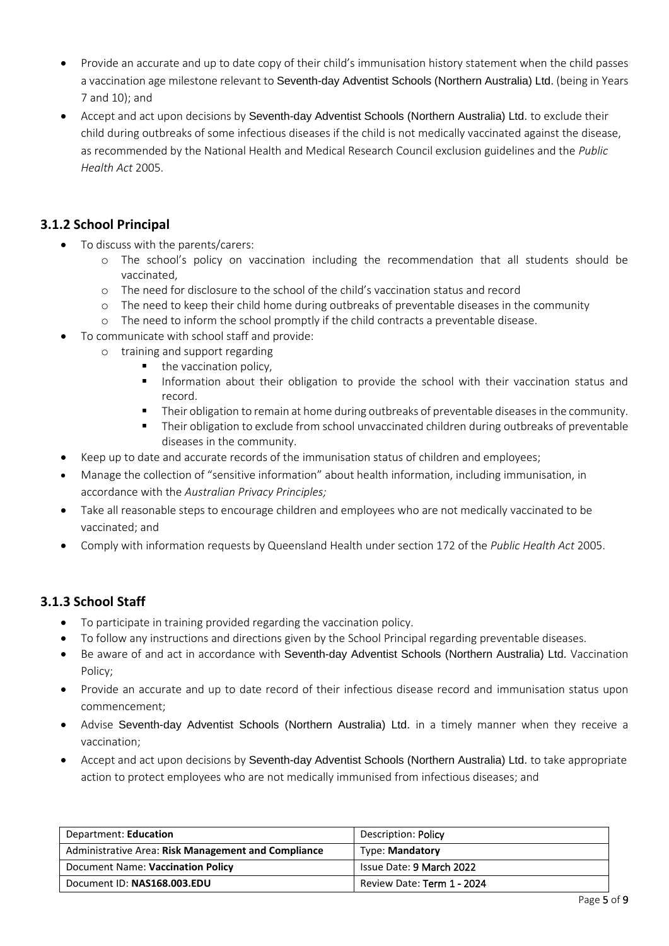- Provide an accurate and up to date copy of their child's immunisation history statement when the child passes a vaccination age milestone relevant to Seventh-day Adventist Schools (Northern Australia) Ltd. (being in Years 7 and 10); and
- Accept and act upon decisions by Seventh-day Adventist Schools (Northern Australia) Ltd. to exclude their child during outbreaks of some infectious diseases if the child is not medically vaccinated against the disease, as recommended by the National Health and Medical Research Council exclusion guidelines and the *Public Health Act* 2005.

# **3.1.2 School Principal**

- To discuss with the parents/carers:
	- o The school's policy on vaccination including the recommendation that all students should be vaccinated,
	- o The need for disclosure to the school of the child's vaccination status and record
	- o The need to keep their child home during outbreaks of preventable diseases in the community
	- o The need to inform the school promptly if the child contracts a preventable disease.
- To communicate with school staff and provide:
	- o training and support regarding
		- the vaccination policy,
		- **■** Information about their obligation to provide the school with their vaccination status and record.
		- Their obligation to remain at home during outbreaks of preventable diseases in the community.
		- **Their obligation to exclude from school unvaccinated children during outbreaks of preventable** diseases in the community.
- Keep up to date and accurate records of the immunisation status of children and employees;
- Manage the collection of "sensitive information" about health information, including immunisation, in accordance with the *Australian Privacy Principles;*
- Take all reasonable steps to encourage children and employees who are not medically vaccinated to be vaccinated; and
- Comply with information requests by Queensland Health under section 172 of the *Public Health Act* 2005.

# **3.1.3 School Staff**

- To participate in training provided regarding the vaccination policy.
- To follow any instructions and directions given by the School Principal regarding preventable diseases.
- Be aware of and act in accordance with Seventh-day Adventist Schools (Northern Australia) Ltd. Vaccination Policy;
- Provide an accurate and up to date record of their infectious disease record and immunisation status upon commencement;
- Advise Seventh-day Adventist Schools (Northern Australia) Ltd. in a timely manner when they receive a vaccination;
- Accept and act upon decisions by Seventh-day Adventist Schools (Northern Australia) Ltd. to take appropriate action to protect employees who are not medically immunised from infectious diseases; and

| Department: Education                               | Description: Policy        |
|-----------------------------------------------------|----------------------------|
| Administrative Area: Risk Management and Compliance | <b>Type: Mandatory</b>     |
| Document Name: Vaccination Policy                   | Issue Date: 9 March 2022   |
| Document ID: NAS168.003.EDU                         | Review Date: Term 1 - 2024 |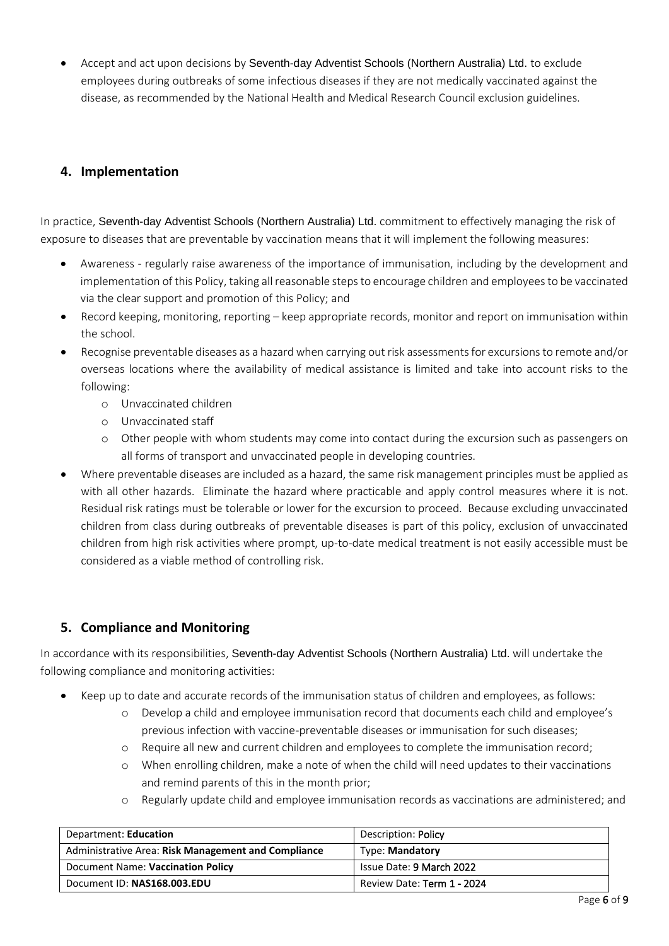• Accept and act upon decisions by Seventh-day Adventist Schools (Northern Australia) Ltd. to exclude employees during outbreaks of some infectious diseases if they are not medically vaccinated against the disease, as recommended by the National Health and Medical Research Council exclusion guidelines.

### **4. Implementation**

In practice, Seventh-day Adventist Schools (Northern Australia) Ltd. commitment to effectively managing the risk of exposure to diseases that are preventable by vaccination means that it will implement the following measures:

- Awareness regularly raise awareness of the importance of immunisation, including by the development and implementation of this Policy, taking all reasonable steps to encourage children and employees to be vaccinated via the clear support and promotion of this Policy; and
- Record keeping, monitoring, reporting keep appropriate records, monitor and report on immunisation within the school.
- Recognise preventable diseases as a hazard when carrying out risk assessments for excursions to remote and/or overseas locations where the availability of medical assistance is limited and take into account risks to the following:
	- o Unvaccinated children
	- o Unvaccinated staff
	- o Other people with whom students may come into contact during the excursion such as passengers on all forms of transport and unvaccinated people in developing countries.
- Where preventable diseases are included as a hazard, the same risk management principles must be applied as with all other hazards. Eliminate the hazard where practicable and apply control measures where it is not. Residual risk ratings must be tolerable or lower for the excursion to proceed. Because excluding unvaccinated children from class during outbreaks of preventable diseases is part of this policy, exclusion of unvaccinated children from high risk activities where prompt, up-to-date medical treatment is not easily accessible must be considered as a viable method of controlling risk.

# **5. Compliance and Monitoring**

In accordance with its responsibilities, Seventh-day Adventist Schools (Northern Australia) Ltd. will undertake the following compliance and monitoring activities:

- Keep up to date and accurate records of the immunisation status of children and employees, as follows:
	- o Develop a child and employee immunisation record that documents each child and employee's previous infection with vaccine-preventable diseases or immunisation for such diseases;
	- o Require all new and current children and employees to complete the immunisation record;
	- o When enrolling children, make a note of when the child will need updates to their vaccinations and remind parents of this in the month prior;
	- o Regularly update child and employee immunisation records as vaccinations are administered; and

| Department: Education                               | Description: Policy        |
|-----------------------------------------------------|----------------------------|
| Administrative Area: Risk Management and Compliance | <b>Type: Mandatory</b>     |
| Document Name: Vaccination Policy                   | Issue Date: 9 March 2022   |
| Document ID: NAS168.003.EDU                         | Review Date: Term 1 - 2024 |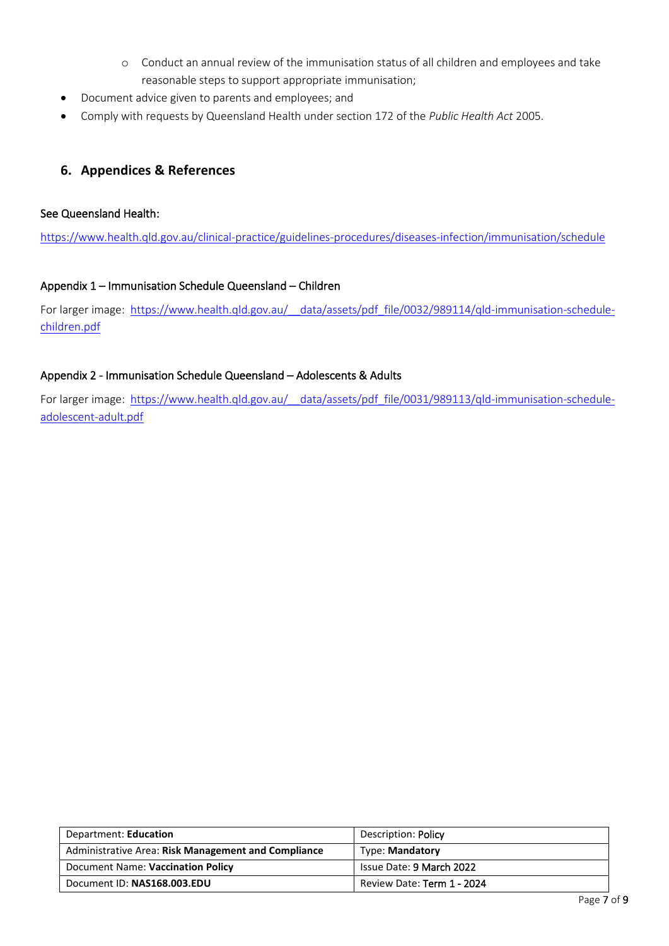- o Conduct an annual review of the immunisation status of all children and employees and take reasonable steps to support appropriate immunisation;
- Document advice given to parents and employees; and
- Comply with requests by Queensland Health under section 172 of the *Public Health Act* 2005.

#### **6. Appendices & References**

#### See Queensland Health:

<https://www.health.qld.gov.au/clinical-practice/guidelines-procedures/diseases-infection/immunisation/schedule>

#### Appendix 1 – Immunisation Schedule Queensland – Children

For larger image: https://www.health.qld.gov.au/ data/assets/pdf file/0032/989114/qld-immunisation-schedule[children.pdf](https://www.health.qld.gov.au/__data/assets/pdf_file/0032/989114/qld-immunisation-schedule-children.pdf)

#### Appendix 2 - Immunisation Schedule Queensland – Adolescents & Adults

For larger image: https://www.health.qld.gov.au/ data/assets/pdf file/0031/989113/qld-immunisation-schedule[adolescent-adult.pdf](https://www.health.qld.gov.au/__data/assets/pdf_file/0031/989113/qld-immunisation-schedule-adolescent-adult.pdf)

| Department: Education                               | Description: Policy        |  |  |
|-----------------------------------------------------|----------------------------|--|--|
| Administrative Area: Risk Management and Compliance | <b>Type: Mandatory</b>     |  |  |
| Document Name: Vaccination Policy                   | Issue Date: 9 March 2022   |  |  |
| Document ID: NAS168.003.EDU                         | Review Date: Term 1 - 2024 |  |  |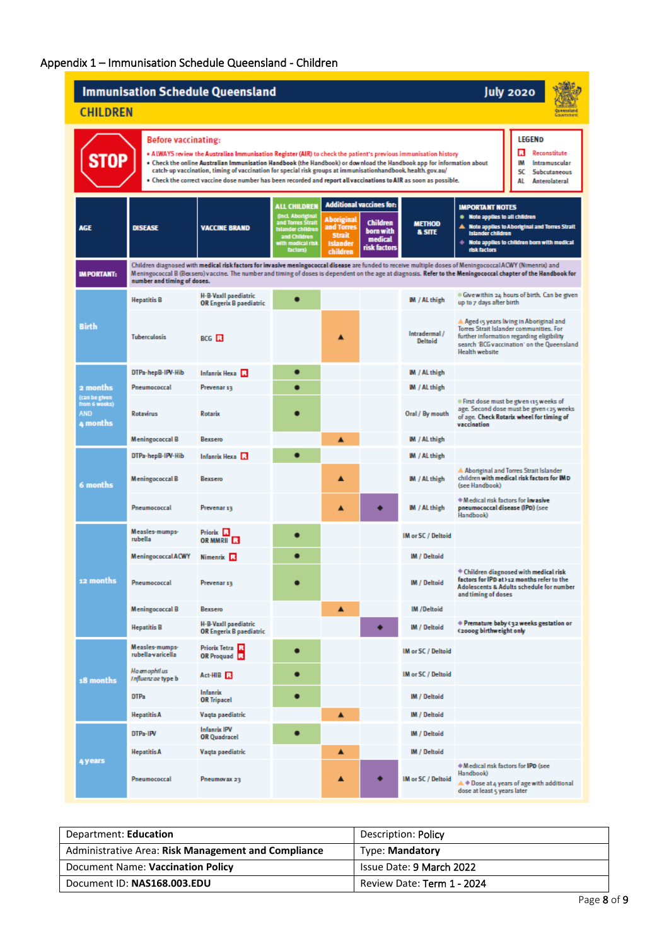# Appendix 1 – Immunisation Schedule Queensland - Children

| <b>Immunisation Schedule Queensland</b>                                                                                                                                                                                                                                                                                                                                                                                                                                                                                                                                                                |                                     |                                                        |                                                                                                                                                  |                                                                                 |                                                                                            | <b>July 2020</b>                   |                                                                                                                                                                                                                                                                                                                             |
|--------------------------------------------------------------------------------------------------------------------------------------------------------------------------------------------------------------------------------------------------------------------------------------------------------------------------------------------------------------------------------------------------------------------------------------------------------------------------------------------------------------------------------------------------------------------------------------------------------|-------------------------------------|--------------------------------------------------------|--------------------------------------------------------------------------------------------------------------------------------------------------|---------------------------------------------------------------------------------|--------------------------------------------------------------------------------------------|------------------------------------|-----------------------------------------------------------------------------------------------------------------------------------------------------------------------------------------------------------------------------------------------------------------------------------------------------------------------------|
| <b>CHILDREN</b><br><b>Guneristand</b><br>Government                                                                                                                                                                                                                                                                                                                                                                                                                                                                                                                                                    |                                     |                                                        |                                                                                                                                                  |                                                                                 |                                                                                            |                                    |                                                                                                                                                                                                                                                                                                                             |
| LEGEND<br>Before vaccinating:<br>в<br>Reconstitute<br>. ALWAYS review the Australian Immunisation Register (AIR) to check the patient's previous immunisation history<br>. Check the online Australian Immunisation Handbook (the Handbook) or download the Handbook app for information about<br>IM<br>Intramuscular<br>catch-up vaccination, timing of vaccination for special risk groups at immunisationhandbook. health.gov.au/<br>sc<br>Subcutaneous<br>. Check the correct vaccine dose number has been recorded and report all vaccinations to AIR as soon as possible.<br>AL<br>Anterolateral |                                     |                                                        |                                                                                                                                                  |                                                                                 |                                                                                            |                                    |                                                                                                                                                                                                                                                                                                                             |
| <b>AGE</b>                                                                                                                                                                                                                                                                                                                                                                                                                                                                                                                                                                                             | <b>DISEASE</b>                      | <b>VACCINE BRAND</b>                                   | <b>ALL CHILDREN</b><br><b>Onci. Aboriginal</b><br>and Torres Strait<br><b>Islander children</b><br>and Children<br>with medical risk<br>factors) | <b>Aboriginal</b><br>and Torres<br><b>Strait</b><br><b>Islander</b><br>children | <b>Additional vaccines for:</b><br><b>Children</b><br>born with<br>medical<br>risk factors | <b>METHOD</b><br><b>&amp; SITE</b> | <b>IMPORTANT NOTES</b><br>. Note applies to all children<br>Note applies to Aboriginal and Torres Strait<br><b>Islander children</b><br>$\blacklozenge$ Note applies to children born with medical<br>risk factors                                                                                                          |
| <b>IMPORTANT:</b>                                                                                                                                                                                                                                                                                                                                                                                                                                                                                                                                                                                      | number and timing of doses.         |                                                        |                                                                                                                                                  |                                                                                 |                                                                                            |                                    | Children diagnosed with medical risk factors for invasive meningococcal disease are funded to receive multiple doses of Meningococcal ACWY (Nimenrix) and<br>Meningococcal B (Bexsero) vaccine. The number and timing of doses is dependent on the age at diagnosis. Refer to the Meningococcal chapter of the Handbook for |
|                                                                                                                                                                                                                                                                                                                                                                                                                                                                                                                                                                                                        | <b>Hepatitis B</b>                  | H-B-VaxII paediatric<br>OR Engerix B paediatric        | $\bullet$                                                                                                                                        |                                                                                 |                                                                                            | M / AL thigh                       | . Give within 24 hours of birth. Can be given<br>up to 7 days after birth                                                                                                                                                                                                                                                   |
| <b>Birth</b>                                                                                                                                                                                                                                                                                                                                                                                                                                                                                                                                                                                           | <b>Tuberculosis</b>                 | BCG <sub>R</sub>                                       |                                                                                                                                                  | ▲                                                                               |                                                                                            | Intradermal/<br>Deltoid            | A Aged 15 years living in Aboriginal and<br>Torres Strait Islander communities. For<br>further information regarding eligibility<br>search 'BCG vaccination' on the Queensland<br><b>Health website</b>                                                                                                                     |
|                                                                                                                                                                                                                                                                                                                                                                                                                                                                                                                                                                                                        | DTPa-hepB-IPV-Hib                   | Infanrix Hexa <b>R</b>                                 | $\bullet$                                                                                                                                        |                                                                                 |                                                                                            | IM / AL thigh                      |                                                                                                                                                                                                                                                                                                                             |
| 2 months                                                                                                                                                                                                                                                                                                                                                                                                                                                                                                                                                                                               | Pneumococcal                        | Prevenar 13                                            | ┍                                                                                                                                                |                                                                                 |                                                                                            | <b>M</b> / AL thigh                |                                                                                                                                                                                                                                                                                                                             |
| (can be given<br>from 6 weeks)<br><b>AND</b><br>4 months                                                                                                                                                                                                                                                                                                                                                                                                                                                                                                                                               | <b>Rotavirus</b>                    | <b>Rotarix</b>                                         |                                                                                                                                                  |                                                                                 |                                                                                            | Oral / By mouth                    | . First dose must be given cis weeks of<br>age. Second dose must be given c25 weeks<br>of age. Check Rotarix wheel for timing of<br>vaccination                                                                                                                                                                             |
|                                                                                                                                                                                                                                                                                                                                                                                                                                                                                                                                                                                                        | <b>Meningococcal B</b>              | Bexsero                                                |                                                                                                                                                  | ▲                                                                               |                                                                                            | <b>M</b> / AL thigh                |                                                                                                                                                                                                                                                                                                                             |
|                                                                                                                                                                                                                                                                                                                                                                                                                                                                                                                                                                                                        | DTPa-hepB-IPV-Hib                   | Infanrix Hexa <b>R</b>                                 | ┍                                                                                                                                                |                                                                                 |                                                                                            | <b>M</b> / AL thigh                |                                                                                                                                                                                                                                                                                                                             |
| 6 months                                                                                                                                                                                                                                                                                                                                                                                                                                                                                                                                                                                               | <b>Meningococcal B</b>              | Bexsero                                                |                                                                                                                                                  | ▲                                                                               |                                                                                            | M / AL thigh                       | Aboriginal and Torres Strait Islander<br>children with medical risk factors for IMD<br>(see Handbook)                                                                                                                                                                                                                       |
|                                                                                                                                                                                                                                                                                                                                                                                                                                                                                                                                                                                                        | Pneumococcal                        | Prevenar 13                                            |                                                                                                                                                  | ▲                                                                               |                                                                                            | M / AL thigh                       | * Medical risk factors for invasive<br>pneumococcal disease (IPD) (see<br>Handbook)                                                                                                                                                                                                                                         |
|                                                                                                                                                                                                                                                                                                                                                                                                                                                                                                                                                                                                        | Measles-mumps-<br>rubella           | Priorix <b>R</b><br>OR MMRII <b>EX</b>                 | $\bullet$                                                                                                                                        |                                                                                 |                                                                                            | IM or SC / Deltoid                 |                                                                                                                                                                                                                                                                                                                             |
|                                                                                                                                                                                                                                                                                                                                                                                                                                                                                                                                                                                                        | <b>Meningococcal ACWY</b>           | Nimenrix R                                             | $\bullet$                                                                                                                                        |                                                                                 |                                                                                            | <b>IM / Deltoid</b>                |                                                                                                                                                                                                                                                                                                                             |
| 12 months                                                                                                                                                                                                                                                                                                                                                                                                                                                                                                                                                                                              | Pneumococcal                        | Prevenar 13                                            |                                                                                                                                                  |                                                                                 |                                                                                            | IM / Deltoid                       | * Children diagnosed with medical risk<br>factors for IPD at >12 months refer to the<br>Adolescents & Adults schedule for number<br>and timing of doses                                                                                                                                                                     |
|                                                                                                                                                                                                                                                                                                                                                                                                                                                                                                                                                                                                        | <b>Meningococcal B</b>              | Bexsero                                                |                                                                                                                                                  | ▲                                                                               |                                                                                            | IM /Deltoid                        |                                                                                                                                                                                                                                                                                                                             |
|                                                                                                                                                                                                                                                                                                                                                                                                                                                                                                                                                                                                        | <b>Hepatitis B</b>                  | H-B-VaxII paediatric<br><b>OR Engerix B paediatric</b> |                                                                                                                                                  |                                                                                 |                                                                                            | IM / Deltoid                       | ♦ Premature baby <32 weeks gestation or<br>(2000g birthweight only                                                                                                                                                                                                                                                          |
|                                                                                                                                                                                                                                                                                                                                                                                                                                                                                                                                                                                                        | Measles-mumps-<br>rubella-varicella | Priorix Tetra<br>OR Proguad R                          | $\bullet$                                                                                                                                        |                                                                                 |                                                                                            | IM or SC / Deltoid                 |                                                                                                                                                                                                                                                                                                                             |
| 18 months                                                                                                                                                                                                                                                                                                                                                                                                                                                                                                                                                                                              | Haemophilus<br>Influenzae type b    | Act-HIB                                                | О                                                                                                                                                |                                                                                 |                                                                                            | IM or SC / Deltoid                 |                                                                                                                                                                                                                                                                                                                             |
|                                                                                                                                                                                                                                                                                                                                                                                                                                                                                                                                                                                                        | DTPa                                | Infanrix<br><b>OR Tripacel</b>                         | $\bullet$                                                                                                                                        |                                                                                 |                                                                                            | IM / Deltoid                       |                                                                                                                                                                                                                                                                                                                             |
|                                                                                                                                                                                                                                                                                                                                                                                                                                                                                                                                                                                                        | <b>Hepatitis A</b>                  | Vaqta paediatric                                       |                                                                                                                                                  | ▲                                                                               |                                                                                            | <b>IM / Deltoid</b>                |                                                                                                                                                                                                                                                                                                                             |
|                                                                                                                                                                                                                                                                                                                                                                                                                                                                                                                                                                                                        | DTPa-IPV                            | <b>Infanrix IPV</b><br><b>OR Quadracel</b>             | $\bullet$                                                                                                                                        |                                                                                 |                                                                                            | IM / Deltoid                       |                                                                                                                                                                                                                                                                                                                             |
| <b>4 years</b>                                                                                                                                                                                                                                                                                                                                                                                                                                                                                                                                                                                         | <b>Hepatitis A</b>                  | Vaqta paediatric                                       |                                                                                                                                                  | ▲                                                                               |                                                                                            | IM / Deltoid                       |                                                                                                                                                                                                                                                                                                                             |
|                                                                                                                                                                                                                                                                                                                                                                                                                                                                                                                                                                                                        | Pneumococcal                        | Pneumovax 23                                           |                                                                                                                                                  | ▲                                                                               |                                                                                            | IM or SC / Deltoid                 | * Medical risk factors for IPD (see<br>Handbook)<br>$\blacktriangle$ $\blacktriangle$ Dose at 4 years of age with additional<br>dose at least 5 years later                                                                                                                                                                 |

| Department: Education                               | Description: Policy        |  |
|-----------------------------------------------------|----------------------------|--|
| Administrative Area: Risk Management and Compliance | <b>Type: Mandatory</b>     |  |
| Document Name: Vaccination Policy                   | Issue Date: 9 March 2022   |  |
| Document ID: NAS168.003.EDU                         | Review Date: Term 1 - 2024 |  |